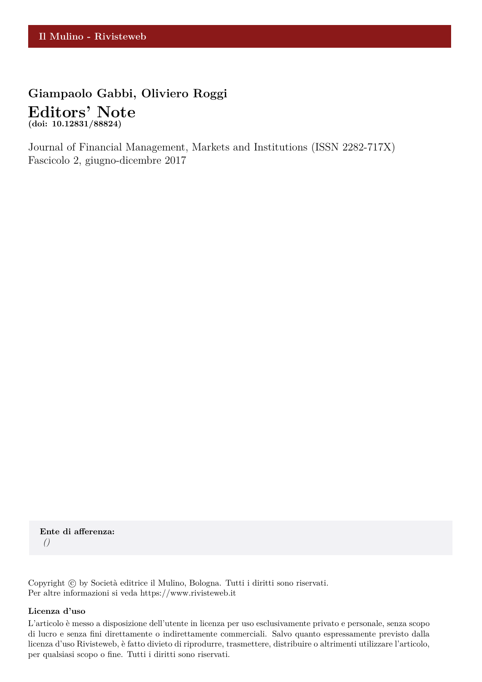## **Giampaolo Gabbi, Oliviero Roggi Editors' Note (doi: 10.12831/88824)**

Journal of Financial Management, Markets and Institutions (ISSN 2282-717X) Fascicolo 2, giugno-dicembre 2017

**Ente di afferenza:** *()*

Copyright © by Società editrice il Mulino, Bologna. Tutti i diritti sono riservati. Per altre informazioni si veda https://www.rivisteweb.it

## **Licenza d'uso**

L'articolo è messo a disposizione dell'utente in licenza per uso esclusivamente privato e personale, senza scopo di lucro e senza fini direttamente o indirettamente commerciali. Salvo quanto espressamente previsto dalla licenza d'uso Rivisteweb, è fatto divieto di riprodurre, trasmettere, distribuire o altrimenti utilizzare l'articolo, per qualsiasi scopo o fine. Tutti i diritti sono riservati.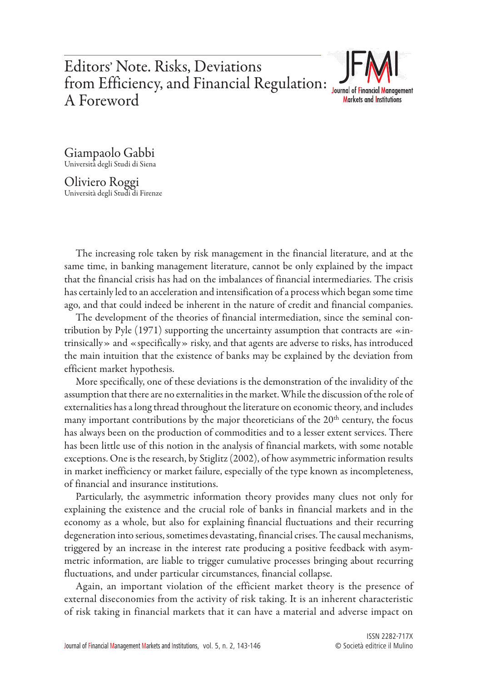## Editors' Note. Risks, Deviations from Efficiency, and Financial Regulation: A Foreword



Giampaolo Gabbi Università degli Studi di Siena

Oliviero Roggi Università degli Studi di Firenze

The increasing role taken by risk management in the financial literature, and at the same time, in banking management literature, cannot be only explained by the impact that the financial crisis has had on the imbalances of financial intermediaries. The crisis has certainly led to an acceleration and intensification of a process which began some time ago, and that could indeed be inherent in the nature of credit and financial companies.

The development of the theories of financial intermediation, since the seminal contribution by Pyle  $(1971)$  supporting the uncertainty assumption that contracts are «intrinsically» and «specifically» risky, and that agents are adverse to risks, has introduced the main intuition that the existence of banks may be explained by the deviation from efficient market hypothesis.

More specifically, one of these deviations is the demonstration of the invalidity of the assumption that there are no externalities in the market. While the discussion of the role of externalities has a long thread throughout the literature on economic theory, and includes many important contributions by the major theoreticians of the  $20<sup>th</sup>$  century, the focus has always been on the production of commodities and to a lesser extent services. There has been little use of this notion in the analysis of financial markets, with some notable exceptions. One is the research, by Stiglitz (2002), of how asymmetric information results in market inefficiency or market failure, especially of the type known as incompleteness, of financial and insurance institutions.

Particularly, the asymmetric information theory provides many clues not only for explaining the existence and the crucial role of banks in financial markets and in the economy as a whole, but also for explaining financial fluctuations and their recurring degeneration into serious, sometimes devastating, financial crises. The causal mechanisms, triggered by an increase in the interest rate producing a positive feedback with asymmetric information, are liable to trigger cumulative processes bringing about recurring fluctuations, and under particular circumstances, financial collapse.

Again, an important violation of the efficient market theory is the presence of external diseconomies from the activity of risk taking. It is an inherent characteristic of risk taking in financial markets that it can have a material and adverse impact on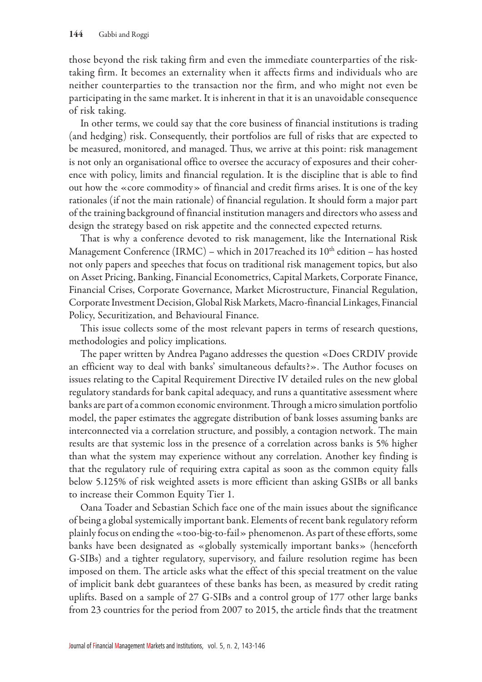those beyond the risk taking firm and even the immediate counterparties of the risktaking firm. It becomes an externality when it affects firms and individuals who are neither counterparties to the transaction nor the firm, and who might not even be participating in the same market. It is inherent in that it is an unavoidable consequence of risk taking.

In other terms, we could say that the core business of financial institutions is trading (and hedging) risk. Consequently, their portfolios are full of risks that are expected to be measured, monitored, and managed. Thus, we arrive at this point: risk management is not only an organisational office to oversee the accuracy of exposures and their coherence with policy, limits and financial regulation. It is the discipline that is able to find out how the «core commodity» of financial and credit firms arises. It is one of the key rationales (if not the main rationale) of financial regulation. It should form a major part of the training background of financial institution managers and directors who assess and design the strategy based on risk appetite and the connected expected returns.

That is why a conference devoted to risk management, like the International Risk Management Conference (IRMC) – which in 2017 reached its  $10<sup>th</sup>$  edition – has hosted not only papers and speeches that focus on traditional risk management topics, but also on Asset Pricing, Banking, Financial Econometrics, Capital Markets, Corporate Finance, Financial Crises, Corporate Governance, Market Microstructure, Financial Regulation, Corporate Investment Decision, Global Risk Markets, Macro-financial Linkages, Financial Policy, Securitization, and Behavioural Finance.

This issue collects some of the most relevant papers in terms of research questions, methodologies and policy implications.

The paper written by Andrea Pagano addresses the question «Does CRDIV provide an efficient way to deal with banks' simultaneous defaults?». The Author focuses on issues relating to the Capital Requirement Directive IV detailed rules on the new global regulatory standards for bank capital adequacy, and runs a quantitative assessment where banks are part of a common economic environment. Through a micro simulation portfolio model, the paper estimates the aggregate distribution of bank losses assuming banks are interconnected via a correlation structure, and possibly, a contagion network. The main results are that systemic loss in the presence of a correlation across banks is 5% higher than what the system may experience without any correlation. Another key finding is that the regulatory rule of requiring extra capital as soon as the common equity falls below 5.125% of risk weighted assets is more efficient than asking GSIBs or all banks to increase their Common Equity Tier 1.

Oana Toader and Sebastian Schich face one of the main issues about the significance of being a global systemically important bank. Elements of recent bank regulatory reform plainly focus on ending the «too-big-to-fail» phenomenon. As part of these efforts, some banks have been designated as «globally systemically important banks» (henceforth G-SIBs) and a tighter regulatory, supervisory, and failure resolution regime has been imposed on them. The article asks what the effect of this special treatment on the value of implicit bank debt guarantees of these banks has been, as measured by credit rating uplifts. Based on a sample of 27 G-SIBs and a control group of 177 other large banks from 23 countries for the period from 2007 to 2015, the article finds that the treatment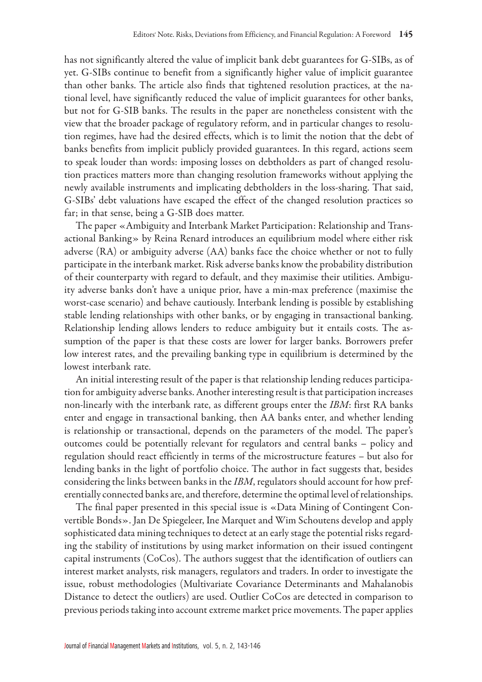has not significantly altered the value of implicit bank debt guarantees for G-SIBs, as of yet. G-SIBs continue to benefit from a significantly higher value of implicit guarantee than other banks. The article also finds that tightened resolution practices, at the national level, have significantly reduced the value of implicit guarantees for other banks, but not for G-SIB banks. The results in the paper are nonetheless consistent with the view that the broader package of regulatory reform, and in particular changes to resolution regimes, have had the desired effects, which is to limit the notion that the debt of banks benefits from implicit publicly provided guarantees. In this regard, actions seem to speak louder than words: imposing losses on debtholders as part of changed resolution practices matters more than changing resolution frameworks without applying the newly available instruments and implicating debtholders in the loss-sharing. That said, G-SIBs' debt valuations have escaped the effect of the changed resolution practices so far; in that sense, being a G-SIB does matter.

The paper «Ambiguity and Interbank Market Participation: Relationship and Transactional Banking» by Reina Renard introduces an equilibrium model where either risk adverse (RA) or ambiguity adverse (AA) banks face the choice whether or not to fully participate in the interbank market. Risk adverse banks know the probability distribution of their counterparty with regard to default, and they maximise their utilities. Ambiguity adverse banks don't have a unique prior, have a min-max preference (maximise the worst-case scenario) and behave cautiously. Interbank lending is possible by establishing stable lending relationships with other banks, or by engaging in transactional banking. Relationship lending allows lenders to reduce ambiguity but it entails costs. The assumption of the paper is that these costs are lower for larger banks. Borrowers prefer low interest rates, and the prevailing banking type in equilibrium is determined by the lowest interbank rate.

An initial interesting result of the paper is that relationship lending reduces participation for ambiguity adverse banks. Another interesting result is that participation increases non-linearly with the interbank rate, as different groups enter the *IBM*: first RA banks enter and engage in transactional banking, then AA banks enter, and whether lending is relationship or transactional, depends on the parameters of the model. The paper's outcomes could be potentially relevant for regulators and central banks – policy and regulation should react efficiently in terms of the microstructure features – but also for lending banks in the light of portfolio choice. The author in fact suggests that, besides considering the links between banks in the *IBM*, regulators should account for how preferentially connected banks are, and therefore, determine the optimal level of relationships.

The final paper presented in this special issue is «Data Mining of Contingent Convertible Bonds». Jan De Spiegeleer, Ine Marquet and Wim Schoutens develop and apply sophisticated data mining techniques to detect at an early stage the potential risks regarding the stability of institutions by using market information on their issued contingent capital instruments (CoCos). The authors suggest that the identification of outliers can interest market analysts, risk managers, regulators and traders. In order to investigate the issue, robust methodologies (Multivariate Covariance Determinants and Mahalanobis Distance to detect the outliers) are used. Outlier CoCos are detected in comparison to previous periods taking into account extreme market price movements. The paper applies